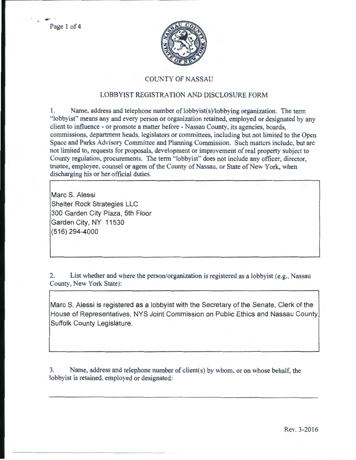

## COUNTY OF NASSAU

## LOBBYIST REGISTRATION AND DISCLOSURE FORM

1. Name, address and telephone number of lobbyist(s)/lobbying organization. The term " lobbyist" means any and every person or organization retained, employed or designated by any client to influence- or promote a matter before- Nassau County, its agencies, boards, commissions, department heads, legislators or committees, including but not limited to the Open Space and Parks Advisory Committee and Planning Commission. Such matters include, but arc not limited to, requests for proposals, development or improvement of real property subject to County regulation, procurements. The term "lobbyist" does not include any officer, director, trustee, employee, counsel or agent of the County of Nassau, or State of New York, when discharging his or her official duties.

Marc S. Alessi Shelter Rock Strategies LLC 300 Garden City Plaza, 5th Floor Garden City, NY 11530 (516) 294-4000

2. List whether and where the person/organization is registered as a lobbyist (e.g., Nassau County, New York State):

Marc S. Alessi is registered as a lobbyist with the Secretary of the Senate, Clerk of the House of Representatives, NYS Joint Commission on Public Ethics and Nassau County Suffolk County Legislature.

3. Name, address and telephone number of client(s) by whom, or on whose behalf. the lobbyist is retained, employed or designated: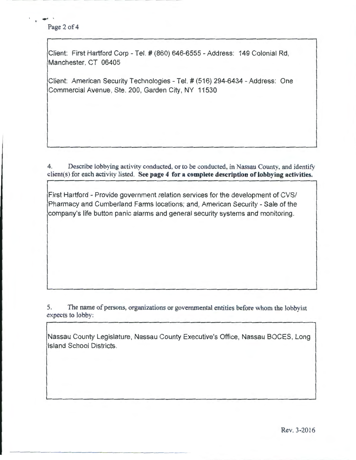## Page 2 of 4

Client: First Hartford Corp- Tel.# (860) 646-6555- Address: 149 Colonial Rd, Manchester, CT 06405

Client: American Security Technologies- Tel.# (516) 294-6434- Address: One Commercial Avenue, Ste. 200, Garden City, NY 11530

4. Describe lobbying activity conducted, or to be conducted, in Nassau County, and identify client(s) for each activity listed. See page 4 for a complete description of lobbying activities.

First Hartford - Provide government relation services for the development of CVS/ Pharmacy and Cumberland Farms locations; and, American Security- Sale of the company's life button panic alarms and general security systems and monitoring.

5. The name of persons, organizations or governmental entities before whom the lobbyist expects to lobby:

Nassau County Legislature, Nassau County Executive's Office, Nassau BOCES, Long Island School Districts.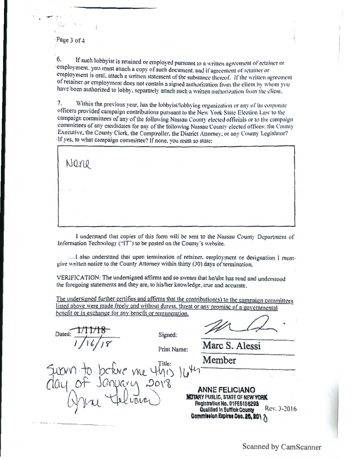#### ·Page 3 of 4

 $\mathcal{L}$ 

....... \ .

6. If such lobbyist is retained or employed pursuant to a written agreement of retainer or employment, you must attach a copy of such document: and if agreement of retainer or employment is oral, attach a written statement of the substance thereof. If the written agreement of retainer or employment does not contain a signed authorization from the client by whom you have been authorized to lobby, separately attach such a written authorization from the client.

7. Within the previous year, has the lobbyist/lobbying organization or any of its corporate officers provided campaign contributions pursuant to the New York State Election Law to the campaign committees of any of the following Nassau County elected officials or to the campaign committees of any candidates for any of the following Nassau County elected offices; the County Executive, the County Clerk, the Comptroller, the District Attorney, or any County Legislator? If yes, to what campaign committee? If none, you must so state:

Nene

I understand that copies of this form will be sent to the Nassau County Department of Information Technology ("IT") to be posted on the County's website.

···· I also understand that upon termination of retainer, employment or designation I mustgive written notice to the County Attorney within thirty (30) days of termination.

VERIFICATION: The undersigned affirms and so swears that he/she has read and understood the foregoing statements and they are, to his/her knowledge. true and accumte.

The undersigned further certifies and affirms that the contribution(s) to the campaign committees listed above were made freely and without duress, threat or any promise of a governmental benefit or in exchange for any benefit or remuneration.

Dated: *Jftj*<br> *Jft/18* Signed:

- ------··-·-· -

Print Name: Marc S. Alessi

Suovn to before me 4his 1445 Member  $C1aV_{0}$ <sup>Ot</sub> Janpary 2018 ANNEFELICIANO</sup>

ANNE FELICIANO<br>NOTARY PUBLIC, STATE OF NEW YORK **Find 7.1 Registration No. 01FE6158293** Rev. 3-2016 Commission Expires Dec. 26, 20<sup>1</sup>  $\land$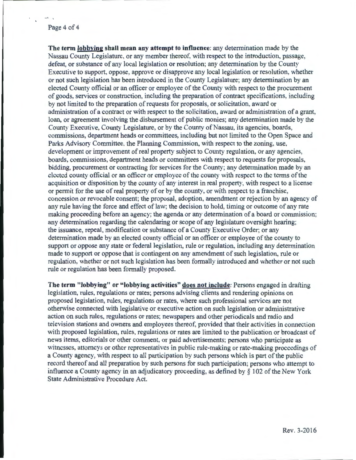#### Page 4 of 4

**The term lobbying shall mean any attempt to influence:** any determination made by the Nassau County Legislature, or any member thereof, with respect to the introduction, passage, defeat, or substance of any local legislation or resolution; any determination by the County Executive to support, oppose, approve or disapprove any local legislation or resolution, whether or not such legislation has been introduced in the County Legislature; any determination by an elected County official or an officer or employee of the County with respect to the procurement of goods, services or construction, including the preparation of contract specifications, including by not limited to the preparation of requests for proposals, or solicitation, award or administration of a contract or with respect to the solicitation, award or administration of a grant, loan, or agreement involving the disbursement of public monies; any determination made by the County Executive, County Legislature, or by the County of Nassau, its agencies, boards, commissions, department heads or committees, including but not limited to the Open Space and Parks Advisory Committee, the Planning Commission, with respect to the zoning, use, development or improvement of real property subject to County regulation, or any agencies, boards, commissions, department heads or committees with respect to requests for proposals, bidding, procurement or contracting for services for the County; any determination made by an elected county official or an officer or employee of the county with respect to the terms of the acquisition or disposition by the county of any interest in real property, with respect to a license or permit for the use of real property of or by the county, or with respect to a franchise, concession or revocable consent; the proposal, adoption, amendment or rejection by an agency of any rule having the force and effect of law; the decision to hold, timing or outcome of any rate making proceeding before an agency; the agenda or any determination of a board or commission; any determination regarding the calendaring or scope of any legislature oversight hearing; the issuance, repeal, modification or substance of a County Executive Order; or any determination made by an elected county official or an officer or employee of the county to support or oppose any state or federal legislation, rule or regulation, including any determination made to support or oppose that is contingent on any amendment of such legislation, rule or regulation, whether or not such legislation has been formally introduced and whether or not such rule or regulation has been formally proposed.

**The term "lobbying" or "lobbying activities" does not include:** Persons engaged in drafting legislation, rules, regulations or rates; persons advising clients and rendering opinions on proposed legislation, rules, regulations or rates, where such professional services are not otherwise connected with legislative or executive action on such legislation or administrative action on such rules, regulations or rates; newspapers and other periodicals and radio and television stations and owners and employees thereof, provided that their activities in connection with proposed legislation, rules, regulations or rates are limited to the publication or broadcast of news items, editorials or other comment, or paid advertisements; persons who participate as witnesses, attorneys or other representatives in public rule-making or rate-making proceedings of a County agency, with respect to all participation by such persons which is part of the public record thereof and all preparation by such persons for such participation; persons who attempt to influence a County agency in an adjudicatory proceeding, as defined by  $\S$  102 of the New York State Administrative Procedure Act.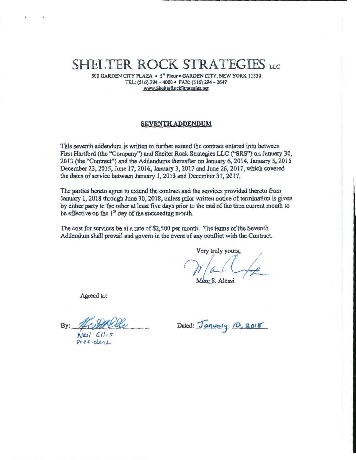# SHELTER ROCK STRATEGIES LLC

300 GARDEN CITY PLAZA • 5" Floor • GARDEN CITY, NEW YORK 11530 TEL: (516) 294-4000 • FAX: (516) 294-2647 www.ShelterRockStrategies.net

#### SEVENTH ADDENDUM

This seventh addendum is written to further extend the contract entered into between First Hartford (the "Company") and Shelter Rock Strategies LLC ("SRS") on January 30, 2013 (the "Contract") and the Addendums thereafter on January 6, 2014, January 5, 2015 December 23, 2015, June 17,2016, January 3, 2017 and June 26, 2017, which covered the dates of service between January 1, 2013 and December 31, 2017.

The parties hereto agree to extend the contract and the services provided thereto from January 1, 2018 through June 30, 2018, unless prior written notice of termination is given by either party to the other at least five days prior to the end of the then current month to be effective on the 1<sup>st</sup> day of the succeeding month.

The cost for services be at a rate of \$2,500 per month. The terms of the Seventh Addendum shall prevail and govern in the event of any conflict with the Contract.

Very truly yours,<br>  $\gamma$  *al*  $\overline{\mathcal{C}}$  $\rho$  $~\stackrel{\text{urs.}}{\rightarrow}~$ 

\_\_\_\_\_\_\_\_\_\_\_\_ ..........

Marc S. Alessi

Agreed to:

By:  $\frac{PQPTU}{N}$ 

Dated: January *10, 2018* 

 $Pf$  esident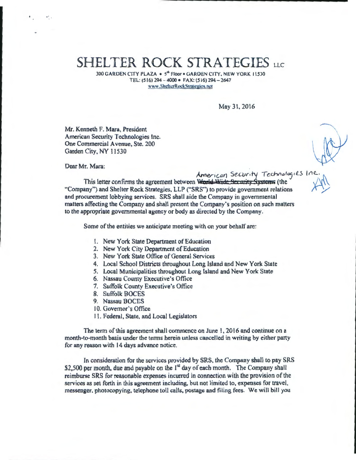## SHELTER ROCK STRATEGIES LLC

300 GARDEN CITY PLAZA · 5<sup>th</sup> Floor · GARDEN CITY. NEW YORK 11530 TEL: (516) 294 - 4000 • FAX: (516) 294-2647 www.ShelterRockStrategies.net

May 31.2016

Mr. Kenneth F. Mara, President American Security Technologies Inc. One Commercial A venue, Ste. 200 Garden City, NY 11530

Dear Mr. Mara:

.<br>.. .

American Security Technologies In

\_\_\_\_\_\_\_\_\_\_\_\_ ..........

This letter confirms the agreement between World Wide Sermity Systems (the "Company") and Shelter Rock Strategies. LLP ("SRS") to provide government relations and procurement lobbying services. SRS shall aide the Company in governmental matters affecting the Company and shall present the Company's position on such matters to the appropriate governmental agency or body as directed by the Company.

Some of the entities we anticipate meeting with on your behalf are:

- I. New York State Department of Education
- 2. New York City Department of Education
- 3. New York State Office of General Services
- 4. Local School Districts throughout Long Island and New York State
- 5. Local Municipalities throughout Long Island and New York State
- 6. Nassau County Executive's Office
- 7. Suffolk County Executive's Office
- 8. Suffolk BOCES
- 9. Nassau BOCES
- 10. Governor's Office
- 11. Federal, State, and Local Legislators

The term of this agreement shall commence on June 1, 2016 and continue on a month-to-month basis under the terms herein unless cancelled in writing by either party for any reason with 14 days advance notice.

In consideration for the services provided by SRS, the Company shall to pay SRS \$2,500 per month, due and payable on the  $I^{st}$  day of each month. The Company shall reimburse SRS for reasonable expenses incurred in connection with the provision of the services as set forth in this agreement including, but not limited to, expenses for travel, messenger. photocopying, telephone toll calls, postage and filing fees. We will bill you